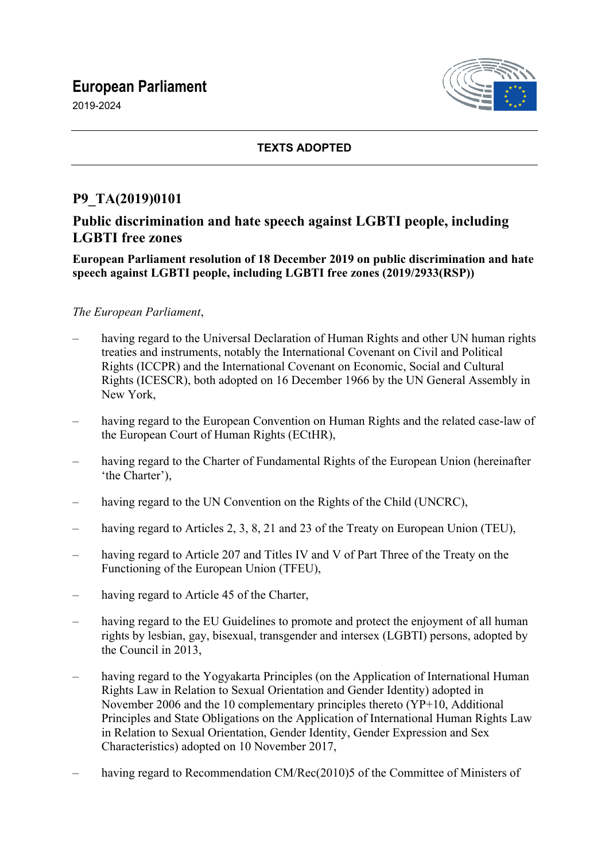# **European Parliament**

2019-2024



#### **TEXTS ADOPTED**

## **P9\_TA(2019)0101**

## **Public discrimination and hate speech against LGBTI people, including LGBTI free zones**

**European Parliament resolution of 18 December 2019 on public discrimination and hate speech against LGBTI people, including LGBTI free zones (2019/2933(RSP))**

#### *The European Parliament*,

- having regard to the Universal Declaration of Human Rights and other UN human rights treaties and instruments, notably the International Covenant on Civil and Political Rights (ICCPR) and the International Covenant on Economic, Social and Cultural Rights (ICESCR), both adopted on 16 December 1966 by the UN General Assembly in New York,
- having regard to the European Convention on Human Rights and the related case-law of the European Court of Human Rights (ECtHR),
- having regard to the Charter of Fundamental Rights of the European Union (hereinafter 'the Charter'),
- having regard to the UN Convention on the Rights of the Child (UNCRC),
- having regard to Articles 2, 3, 8, 21 and 23 of the Treaty on European Union (TEU),
- having regard to Article 207 and Titles IV and V of Part Three of the Treaty on the Functioning of the European Union (TFEU),
- having regard to Article 45 of the Charter,
- having regard to the EU Guidelines to promote and protect the enjoyment of all human rights by lesbian, gay, bisexual, transgender and intersex (LGBTI) persons, adopted by the Council in 2013,
- having regard to the Yogyakarta Principles (on the Application of International Human Rights Law in Relation to Sexual Orientation and Gender Identity) adopted in November 2006 and the 10 complementary principles thereto (YP+10, Additional Principles and State Obligations on the Application of International Human Rights Law in Relation to Sexual Orientation, Gender Identity, Gender Expression and Sex Characteristics) adopted on 10 November 2017,
- having regard to Recommendation CM/Rec(2010)5 of the Committee of Ministers of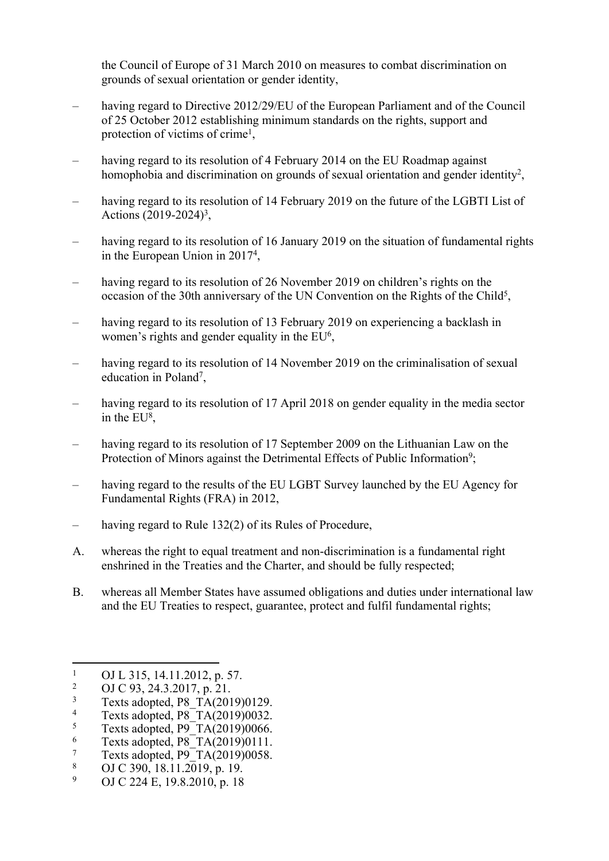the Council of Europe of 31 March 2010 on measures to combat discrimination on grounds of sexual orientation or gender identity,

- having regard to Directive 2012/29/EU of the European Parliament and of the Council of 25 October 2012 establishing minimum standards on the rights, support and protection of victims of crime<sup>1</sup>,
- having regard to its resolution of 4 February 2014 on the EU Roadmap against homophobia and discrimination on grounds of sexual orientation and gender identity<sup>2</sup>,
- having regard to its resolution of 14 February 2019 on the future of the LGBTI List of Actions (2019-2024)<sup>3</sup>,
- having regard to its resolution of 16 January 2019 on the situation of fundamental rights in the European Union in 2017<sup>4</sup> ,
- having regard to its resolution of 26 November 2019 on children's rights on the occasion of the 30th anniversary of the UN Convention on the Rights of the Child<sup>5</sup>,
- having regard to its resolution of 13 February 2019 on experiencing a backlash in women's rights and gender equality in the EU<sup>6</sup>,
- having regard to its resolution of 14 November 2019 on the criminalisation of sexual education in Poland<sup>7</sup>,
- having regard to its resolution of 17 April 2018 on gender equality in the media sector in the EU<sup>8</sup>,
- having regard to its resolution of 17 September 2009 on the Lithuanian Law on the Protection of Minors against the Detrimental Effects of Public Information<sup>9</sup>;
- having regard to the results of the EU LGBT Survey launched by the EU Agency for Fundamental Rights (FRA) in 2012,
- having regard to Rule 132(2) of its Rules of Procedure,
- A. whereas the right to equal treatment and non-discrimination is a fundamental right enshrined in the Treaties and the Charter, and should be fully respected;
- B. whereas all Member States have assumed obligations and duties under international law and the EU Treaties to respect, guarantee, protect and fulfil fundamental rights;

8 OJ C 390,  $18.11.2\overline{0}19.$  p. 19.

<sup>1</sup> OJ L 315, 14.11.2012, p. 57.

<sup>2</sup> OJ C 93, 24.3.2017, p. 21.

<sup>3</sup> Texts adopted, P8\_TA(2019)0129.

<sup>4</sup> Texts adopted, P8\_TA(2019)0032.

<sup>5</sup> Texts adopted, P9<sup>T</sup>A(2019)0066.

<sup>6</sup> Texts adopted, P8\_TA(2019)0111.

<sup>7</sup> Texts adopted, P9\_TA(2019)0058.

<sup>9</sup> OJ C 224 E, 19.8.2010, p. 18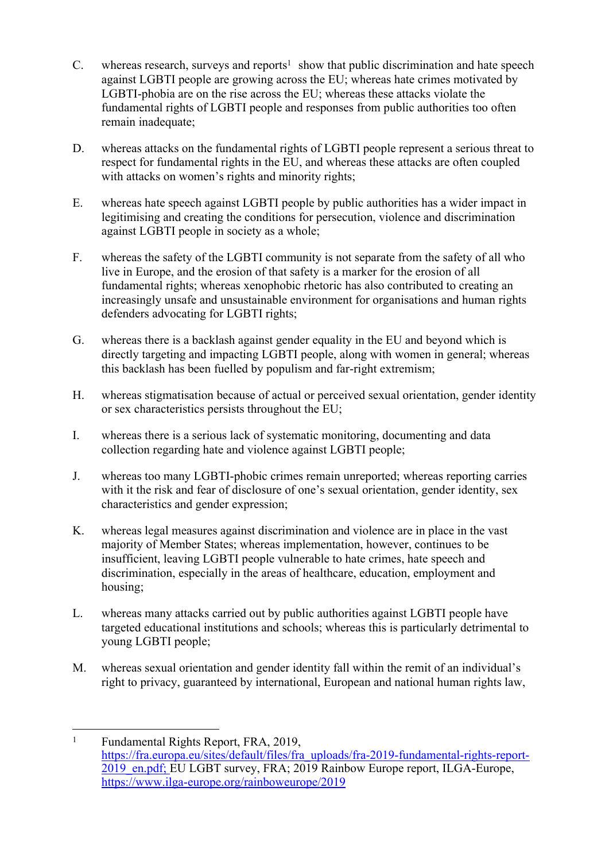- $C.$  whereas research, surveys and reports<sup>1</sup> show that public discrimination and hate speech against LGBTI people are growing across the EU; whereas hate crimes motivated by LGBTI-phobia are on the rise across the EU; whereas these attacks violate the fundamental rights of LGBTI people and responses from public authorities too often remain inadequate;
- D. whereas attacks on the fundamental rights of LGBTI people represent a serious threat to respect for fundamental rights in the EU, and whereas these attacks are often coupled with attacks on women's rights and minority rights;
- E. whereas hate speech against LGBTI people by public authorities has a wider impact in legitimising and creating the conditions for persecution, violence and discrimination against LGBTI people in society as a whole;
- F. whereas the safety of the LGBTI community is not separate from the safety of all who live in Europe, and the erosion of that safety is a marker for the erosion of all fundamental rights; whereas xenophobic rhetoric has also contributed to creating an increasingly unsafe and unsustainable environment for organisations and human rights defenders advocating for LGBTI rights;
- G. whereas there is a backlash against gender equality in the EU and beyond which is directly targeting and impacting LGBTI people, along with women in general; whereas this backlash has been fuelled by populism and far-right extremism;
- H. whereas stigmatisation because of actual or perceived sexual orientation, gender identity or sex characteristics persists throughout the EU;
- I. whereas there is a serious lack of systematic monitoring, documenting and data collection regarding hate and violence against LGBTI people;
- J. whereas too many LGBTI-phobic crimes remain unreported; whereas reporting carries with it the risk and fear of disclosure of one's sexual orientation, gender identity, sex characteristics and gender expression;
- K. whereas legal measures against discrimination and violence are in place in the vast majority of Member States; whereas implementation, however, continues to be insufficient, leaving LGBTI people vulnerable to hate crimes, hate speech and discrimination, especially in the areas of healthcare, education, employment and housing;
- L. whereas many attacks carried out by public authorities against LGBTI people have targeted educational institutions and schools; whereas this is particularly detrimental to young LGBTI people;
- M. whereas sexual orientation and gender identity fall within the remit of an individual's right to privacy, guaranteed by international, European and national human rights law,

<sup>1</sup> Fundamental Rights Report, FRA, 2019, [https://fra.europa.eu/sites/default/files/fra\\_uploads/fra-2019-fundamental-rights-report-](https://fra.europa.eu/sites/default/files/fra_uploads/fra-2019-fundamental-rights-report-2019_en.pdf)[2019\\_en.pdf;](https://fra.europa.eu/sites/default/files/fra_uploads/fra-2019-fundamental-rights-report-2019_en.pdf) EU LGBT survey, FRA; 2019 Rainbow Europe report, ILGA-Europe, <https://www.ilga-europe.org/rainboweurope/2019>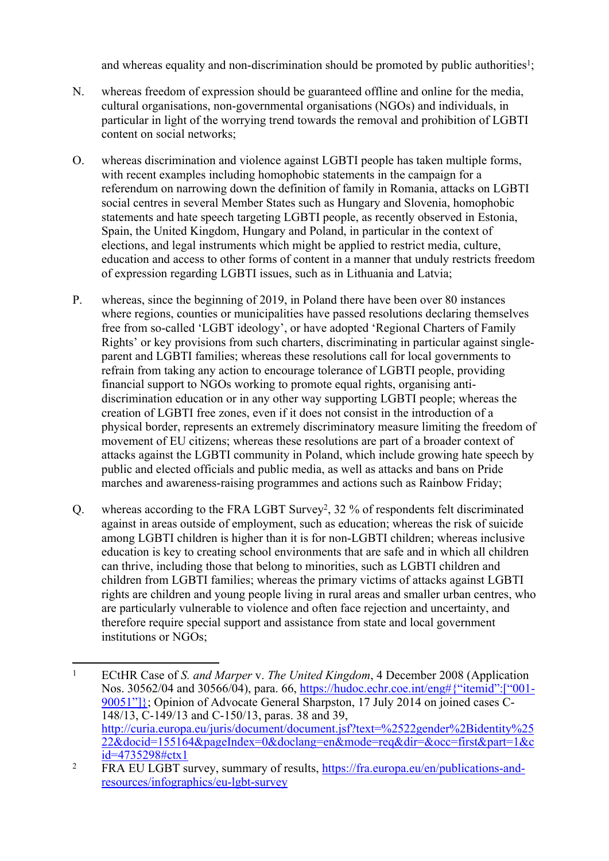and whereas equality and non-discrimination should be promoted by public authorities<sup>1</sup>;

- N. whereas freedom of expression should be guaranteed offline and online for the media, cultural organisations, non-governmental organisations (NGOs) and individuals, in particular in light of the worrying trend towards the removal and prohibition of LGBTI content on social networks;
- O. whereas discrimination and violence against LGBTI people has taken multiple forms, with recent examples including homophobic statements in the campaign for a referendum on narrowing down the definition of family in Romania, attacks on LGBTI social centres in several Member States such as Hungary and Slovenia, homophobic statements and hate speech targeting LGBTI people, as recently observed in Estonia, Spain, the United Kingdom, Hungary and Poland, in particular in the context of elections, and legal instruments which might be applied to restrict media, culture, education and access to other forms of content in a manner that unduly restricts freedom of expression regarding LGBTI issues, such as in Lithuania and Latvia;
- P. whereas, since the beginning of 2019, in Poland there have been over 80 instances where regions, counties or municipalities have passed resolutions declaring themselves free from so-called 'LGBT ideology', or have adopted 'Regional Charters of Family Rights' or key provisions from such charters, discriminating in particular against singleparent and LGBTI families; whereas these resolutions call for local governments to refrain from taking any action to encourage tolerance of LGBTI people, providing financial support to NGOs working to promote equal rights, organising antidiscrimination education or in any other way supporting LGBTI people; whereas the creation of LGBTI free zones, even if it does not consist in the introduction of a physical border, represents an extremely discriminatory measure limiting the freedom of movement of EU citizens; whereas these resolutions are part of a broader context of attacks against the LGBTI community in Poland, which include growing hate speech by public and elected officials and public media, as well as attacks and bans on Pride marches and awareness-raising programmes and actions such as Rainbow Friday;
- Q. whereas according to the FRA LGBT Survey<sup>2</sup>, 32 % of respondents felt discriminated against in areas outside of employment, such as education; whereas the risk of suicide among LGBTI children is higher than it is for non-LGBTI children; whereas inclusive education is key to creating school environments that are safe and in which all children can thrive, including those that belong to minorities, such as LGBTI children and children from LGBTI families; whereas the primary victims of attacks against LGBTI rights are children and young people living in rural areas and smaller urban centres, who are particularly vulnerable to violence and often face rejection and uncertainty, and therefore require special support and assistance from state and local government institutions or NGOs;

<sup>1</sup> ECtHR Case of *S. and Marper* v. *The United Kingdom*, 4 December 2008 (Application Nos. 30562/04 and 30566/04), para. 66, [https://hudoc.echr.coe.int/eng#{"itemid":\["001-](https://hudoc.echr.coe.int/eng#{) [90051"\]}](https://hudoc.echr.coe.int/eng#{); Opinion of Advocate General Sharpston, 17 July 2014 on joined cases C-148/13, C-149/13 and C-150/13, paras. 38 and 39, [http://curia.europa.eu/juris/document/document.jsf?text=%2522gender%2Bidentity%25](http://curia.europa.eu/juris/document/document.jsf?text=%22gender+identity%22&docid=155164&pageIndex=0&doclang=en&mode=req&dir=&occ=first&part=1&cid=4735298%23ctx1) [22&docid=155164&pageIndex=0&doclang=en&mode=req&dir=&occ=first&part=1&c](http://curia.europa.eu/juris/document/document.jsf?text=%22gender+identity%22&docid=155164&pageIndex=0&doclang=en&mode=req&dir=&occ=first&part=1&cid=4735298%23ctx1) [id=4735298#ctx1](http://curia.europa.eu/juris/document/document.jsf?text=%22gender+identity%22&docid=155164&pageIndex=0&doclang=en&mode=req&dir=&occ=first&part=1&cid=4735298%23ctx1)

<sup>2</sup> FRA EU LGBT survey, summary of results, [https://fra.europa.eu/en/publications-and](https://fra.europa.eu/en/publications-and-resources/infographics/eu-lgbt-survey)[resources/infographics/eu-lgbt-survey](https://fra.europa.eu/en/publications-and-resources/infographics/eu-lgbt-survey)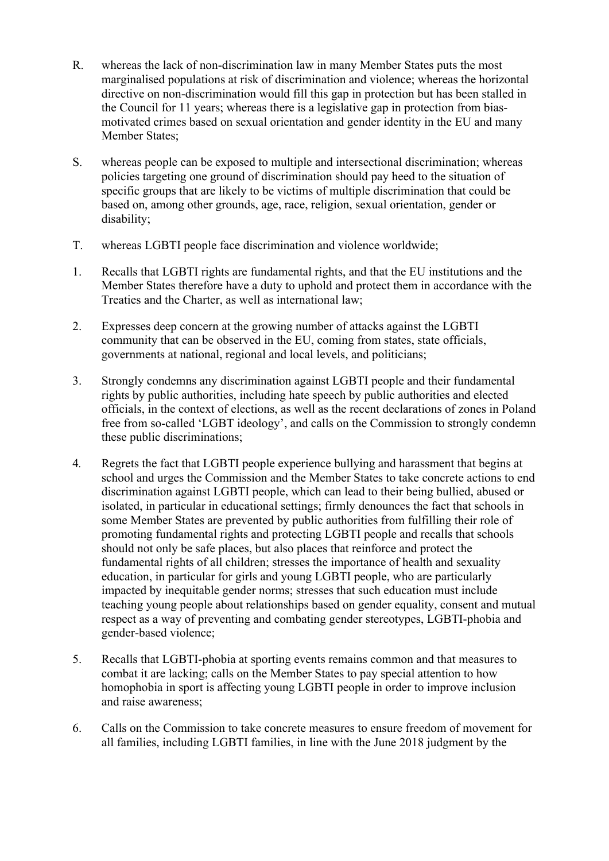- R. whereas the lack of non-discrimination law in many Member States puts the most marginalised populations at risk of discrimination and violence; whereas the horizontal directive on non-discrimination would fill this gap in protection but has been stalled in the Council for 11 years; whereas there is a legislative gap in protection from biasmotivated crimes based on sexual orientation and gender identity in the EU and many Member States;
- S. whereas people can be exposed to multiple and intersectional discrimination; whereas policies targeting one ground of discrimination should pay heed to the situation of specific groups that are likely to be victims of multiple discrimination that could be based on, among other grounds, age, race, religion, sexual orientation, gender or disability;
- T. whereas LGBTI people face discrimination and violence worldwide;
- 1. Recalls that LGBTI rights are fundamental rights, and that the EU institutions and the Member States therefore have a duty to uphold and protect them in accordance with the Treaties and the Charter, as well as international law;
- 2. Expresses deep concern at the growing number of attacks against the LGBTI community that can be observed in the EU, coming from states, state officials, governments at national, regional and local levels, and politicians;
- 3. Strongly condemns any discrimination against LGBTI people and their fundamental rights by public authorities, including hate speech by public authorities and elected officials, in the context of elections, as well as the recent declarations of zones in Poland free from so-called 'LGBT ideology', and calls on the Commission to strongly condemn these public discriminations;
- 4*.* Regrets the fact that LGBTI people experience bullying and harassment that begins at school and urges the Commission and the Member States to take concrete actions to end discrimination against LGBTI people, which can lead to their being bullied, abused or isolated, in particular in educational settings; firmly denounces the fact that schools in some Member States are prevented by public authorities from fulfilling their role of promoting fundamental rights and protecting LGBTI people and recalls that schools should not only be safe places, but also places that reinforce and protect the fundamental rights of all children; stresses the importance of health and sexuality education, in particular for girls and young LGBTI people, who are particularly impacted by inequitable gender norms; stresses that such education must include teaching young people about relationships based on gender equality, consent and mutual respect as a way of preventing and combating gender stereotypes, LGBTI-phobia and gender-based violence;
- 5. Recalls that LGBTI-phobia at sporting events remains common and that measures to combat it are lacking; calls on the Member States to pay special attention to how homophobia in sport is affecting young LGBTI people in order to improve inclusion and raise awareness;
- 6. Calls on the Commission to take concrete measures to ensure freedom of movement for all families, including LGBTI families, in line with the June 2018 judgment by the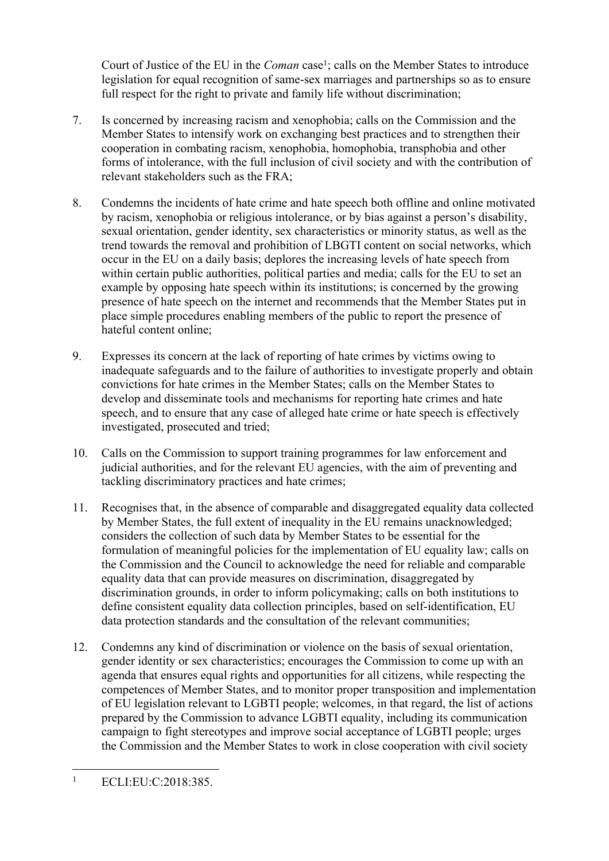Court of Justice of the EU in the *Coman* case<sup>1</sup>; calls on the Member States to introduce legislation for equal recognition of same-sex marriages and partnerships so as to ensure full respect for the right to private and family life without discrimination;

- 7. Is concerned by increasing racism and xenophobia; calls on the Commission and the Member States to intensify work on exchanging best practices and to strengthen their cooperation in combating racism, xenophobia, homophobia, transphobia and other forms of intolerance, with the full inclusion of civil society and with the contribution of relevant stakeholders such as the FRA;
- 8. Condemns the incidents of hate crime and hate speech both offline and online motivated by racism, xenophobia or religious intolerance, or by bias against a person's disability, sexual orientation, gender identity, sex characteristics or minority status, as well as the trend towards the removal and prohibition of LBGTI content on social networks, which occur in the EU on a daily basis; deplores the increasing levels of hate speech from within certain public authorities, political parties and media; calls for the EU to set an example by opposing hate speech within its institutions; is concerned by the growing presence of hate speech on the internet and recommends that the Member States put in place simple procedures enabling members of the public to report the presence of hateful content online;
- 9. Expresses its concern at the lack of reporting of hate crimes by victims owing to inadequate safeguards and to the failure of authorities to investigate properly and obtain convictions for hate crimes in the Member States; calls on the Member States to develop and disseminate tools and mechanisms for reporting hate crimes and hate speech, and to ensure that any case of alleged hate crime or hate speech is effectively investigated, prosecuted and tried;
- 10. Calls on the Commission to support training programmes for law enforcement and judicial authorities, and for the relevant EU agencies, with the aim of preventing and tackling discriminatory practices and hate crimes;
- 11. Recognises that, in the absence of comparable and disaggregated equality data collected by Member States, the full extent of inequality in the EU remains unacknowledged; considers the collection of such data by Member States to be essential for the formulation of meaningful policies for the implementation of EU equality law; calls on the Commission and the Council to acknowledge the need for reliable and comparable equality data that can provide measures on discrimination, disaggregated by discrimination grounds, in order to inform policymaking; calls on both institutions to define consistent equality data collection principles, based on self-identification, EU data protection standards and the consultation of the relevant communities;
- 12. Condemns any kind of discrimination or violence on the basis of sexual orientation, gender identity or sex characteristics; encourages the Commission to come up with an agenda that ensures equal rights and opportunities for all citizens, while respecting the competences of Member States, and to monitor proper transposition and implementation of EU legislation relevant to LGBTI people; welcomes, in that regard, the list of actions prepared by the Commission to advance LGBTI equality, including its communication campaign to fight stereotypes and improve social acceptance of LGBTI people; urges the Commission and the Member States to work in close cooperation with civil society

<sup>1</sup> ECLI:EU:C:2018:385.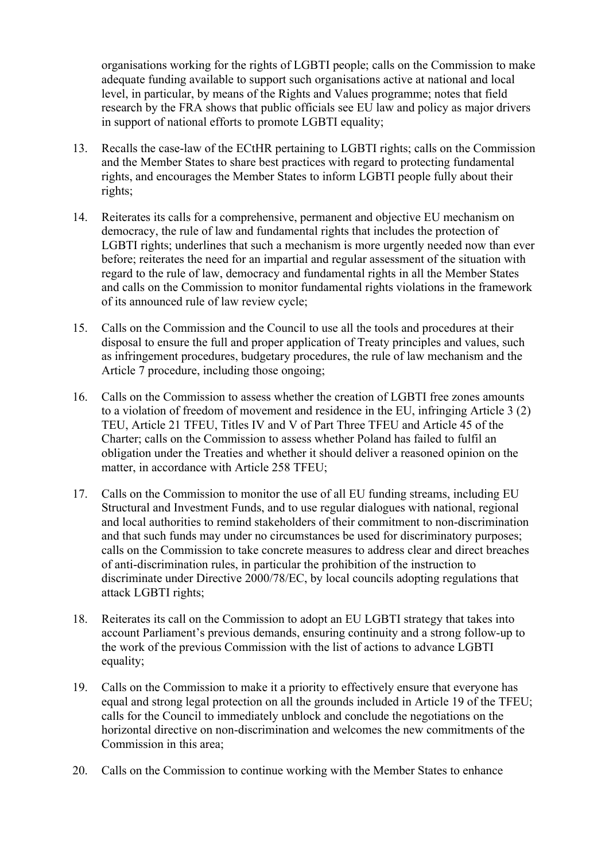organisations working for the rights of LGBTI people; calls on the Commission to make adequate funding available to support such organisations active at national and local level, in particular, by means of the Rights and Values programme; notes that field research by the FRA shows that public officials see EU law and policy as major drivers in support of national efforts to promote LGBTI equality;

- 13. Recalls the case-law of the ECtHR pertaining to LGBTI rights; calls on the Commission and the Member States to share best practices with regard to protecting fundamental rights, and encourages the Member States to inform LGBTI people fully about their rights;
- 14. Reiterates its calls for a comprehensive, permanent and objective EU mechanism on democracy, the rule of law and fundamental rights that includes the protection of LGBTI rights; underlines that such a mechanism is more urgently needed now than ever before; reiterates the need for an impartial and regular assessment of the situation with regard to the rule of law, democracy and fundamental rights in all the Member States and calls on the Commission to monitor fundamental rights violations in the framework of its announced rule of law review cycle;
- 15. Calls on the Commission and the Council to use all the tools and procedures at their disposal to ensure the full and proper application of Treaty principles and values, such as infringement procedures, budgetary procedures, the rule of law mechanism and the Article 7 procedure, including those ongoing;
- 16. Calls on the Commission to assess whether the creation of LGBTI free zones amounts to a violation of freedom of movement and residence in the EU, infringing Article 3 (2) TEU, Article 21 TFEU, Titles IV and V of Part Three TFEU and Article 45 of the Charter; calls on the Commission to assess whether Poland has failed to fulfil an obligation under the Treaties and whether it should deliver a reasoned opinion on the matter, in accordance with Article 258 TFEU;
- 17. Calls on the Commission to monitor the use of all EU funding streams, including EU Structural and Investment Funds, and to use regular dialogues with national, regional and local authorities to remind stakeholders of their commitment to non-discrimination and that such funds may under no circumstances be used for discriminatory purposes; calls on the Commission to take concrete measures to address clear and direct breaches of anti-discrimination rules, in particular the prohibition of the instruction to discriminate under Directive 2000/78/EC, by local councils adopting regulations that attack LGBTI rights;
- 18. Reiterates its call on the Commission to adopt an EU LGBTI strategy that takes into account Parliament's previous demands, ensuring continuity and a strong follow-up to the work of the previous Commission with the list of actions to advance LGBTI equality;
- 19. Calls on the Commission to make it a priority to effectively ensure that everyone has equal and strong legal protection on all the grounds included in Article 19 of the TFEU; calls for the Council to immediately unblock and conclude the negotiations on the horizontal directive on non-discrimination and welcomes the new commitments of the Commission in this area;
- 20. Calls on the Commission to continue working with the Member States to enhance